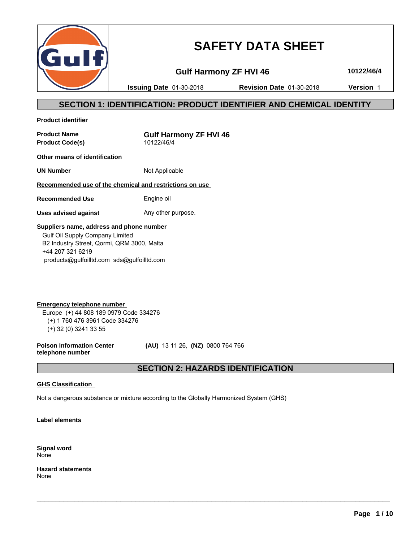

# **SAFETY DATA SHEET**

**Gulf Harmony ZF HVI 46 10122/46/4**

**Issuing Date** 01-30-2018 **Revision Date** 01-30-2018 **Version** 1

# **SECTION 1: IDENTIFICATION: PRODUCT IDENTIFIER AND CHEMICAL IDENTITY**

**Product identifier**

**Product Code(s)** 

**Product Name Gulf Harmony ZF HVI 46**<br>Product Code(s) **Product** Code(s)

**Other means of identification** 

**UN Number** Not Applicable

**Recommended use of the chemical and restrictions on use** 

**Recommended Use** Engine oil

**Uses advised against** Any other purpose.

### **Suppliers name, address and phone number**

 Gulf Oil Supply Company Limited B2 Industry Street, Qormi, QRM 3000, Malta +44 207 321 6219 products@gulfoilltd.com sds@gulfoilltd.com

**Emergency telephone number**  Europe (+) 44 808 189 0979 Code 334276 (+) 1 760 476 3961 Code 334276 (+) 32 (0) 3241 33 55

**Poison Information Center telephone number**

 **(AU)** 13 11 26, **(NZ)** 0800 764 766

# **SECTION 2: HAZARDS IDENTIFICATION**

 $\_$  ,  $\_$  ,  $\_$  ,  $\_$  ,  $\_$  ,  $\_$  ,  $\_$  ,  $\_$  ,  $\_$  ,  $\_$  ,  $\_$  ,  $\_$  ,  $\_$  ,  $\_$  ,  $\_$  ,  $\_$  ,  $\_$  ,  $\_$  ,  $\_$  ,  $\_$  ,  $\_$  ,  $\_$  ,  $\_$  ,  $\_$  ,  $\_$  ,  $\_$  ,  $\_$  ,  $\_$  ,  $\_$  ,  $\_$  ,  $\_$  ,  $\_$  ,  $\_$  ,  $\_$  ,  $\_$  ,  $\_$  ,  $\_$  ,

### **GHS Classification**

Not a dangerous substance or mixture according to the Globally Harmonized System (GHS)

**Label elements** 

**Signal word** None

**Hazard statements** None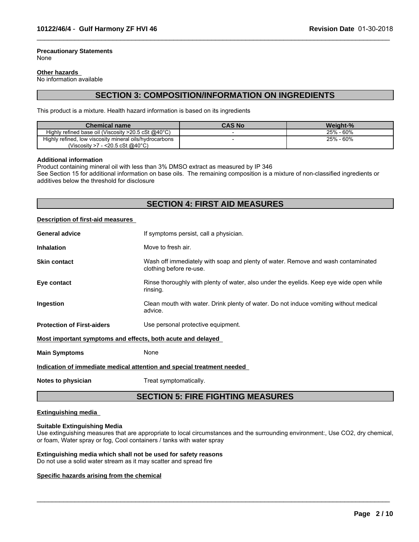#### **Precautionary Statements** None

#### **Other hazards**

No information available

# **SECTION 3: COMPOSITION/INFORMATION ON INGREDIENTS**

 $\_$  ,  $\_$  ,  $\_$  ,  $\_$  ,  $\_$  ,  $\_$  ,  $\_$  ,  $\_$  ,  $\_$  ,  $\_$  ,  $\_$  ,  $\_$  ,  $\_$  ,  $\_$  ,  $\_$  ,  $\_$  ,  $\_$  ,  $\_$  ,  $\_$  ,  $\_$  ,  $\_$  ,  $\_$  ,  $\_$  ,  $\_$  ,  $\_$  ,  $\_$  ,  $\_$  ,  $\_$  ,  $\_$  ,  $\_$  ,  $\_$  ,  $\_$  ,  $\_$  ,  $\_$  ,  $\_$  ,  $\_$  ,  $\_$  ,

This product is a mixture. Health hazard information is based on its ingredients

| <b>Chemical name</b>                                             | <b>CAS No</b> | Weight-%     |
|------------------------------------------------------------------|---------------|--------------|
| Highly refined base oil (Viscosity $>20.5$ cSt @40 $^{\circ}$ C) |               | - 60%<br>25% |
| Highly refined, low viscosity mineral oils/hydrocarbons          |               | - 60%<br>25% |
| 7 - <20.5 cSt @40°C)<br>(Viscositv >7                            |               |              |

#### **Additional information**

Product containing mineral oil with less than 3% DMSO extract as measured by IP 346

See Section 15 for additional information on base oils. The remaining composition is a mixture of non-classified ingredients or additives below the threshold for disclosure

# **SECTION 4: FIRST AID MEASURES**

#### **Description of first-aid measures**

| <b>General advice</b>                                                  | If symptoms persist, call a physician.                                                                      |  |  |
|------------------------------------------------------------------------|-------------------------------------------------------------------------------------------------------------|--|--|
| <b>Inhalation</b>                                                      | Move to fresh air.                                                                                          |  |  |
| <b>Skin contact</b>                                                    | Wash off immediately with soap and plenty of water. Remove and wash contaminated<br>clothing before re-use. |  |  |
| Eye contact                                                            | Rinse thoroughly with plenty of water, also under the eyelids. Keep eye wide open while<br>rinsing.         |  |  |
| <b>Ingestion</b>                                                       | Clean mouth with water. Drink plenty of water. Do not induce vomiting without medical<br>advice.            |  |  |
| <b>Protection of First-aiders</b>                                      | Use personal protective equipment.                                                                          |  |  |
| Most important symptoms and effects, both acute and delayed            |                                                                                                             |  |  |
| <b>Main Symptoms</b>                                                   | None                                                                                                        |  |  |
| Indication of immediate medical attention and special treatment needed |                                                                                                             |  |  |
|                                                                        |                                                                                                             |  |  |

**Notes to physician** Treat symptomatically.

# **SECTION 5: FIRE FIGHTING MEASURES**

#### **Extinguishing media**

#### **Suitable Extinguishing Media**

Use extinguishing measures that are appropriate to local circumstances and the surrounding environment:, Use CO2, dry chemical, or foam, Water spray or fog, Cool containers / tanks with water spray

 $\_$  ,  $\_$  ,  $\_$  ,  $\_$  ,  $\_$  ,  $\_$  ,  $\_$  ,  $\_$  ,  $\_$  ,  $\_$  ,  $\_$  ,  $\_$  ,  $\_$  ,  $\_$  ,  $\_$  ,  $\_$  ,  $\_$  ,  $\_$  ,  $\_$  ,  $\_$  ,  $\_$  ,  $\_$  ,  $\_$  ,  $\_$  ,  $\_$  ,  $\_$  ,  $\_$  ,  $\_$  ,  $\_$  ,  $\_$  ,  $\_$  ,  $\_$  ,  $\_$  ,  $\_$  ,  $\_$  ,  $\_$  ,  $\_$  ,

#### **Extinguishing media which shall not be used for safety reasons**

Do not use a solid water stream as it may scatter and spread fire

#### **Specific hazards arising from the chemical**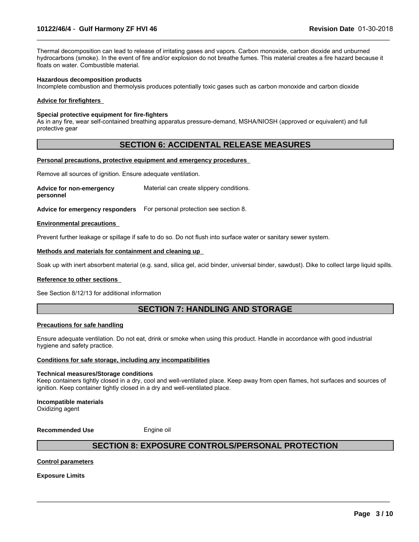Thermal decomposition can lead to release of irritating gases and vapors. Carbon monoxide, carbon dioxide and unburned hydrocarbons (smoke). In the event of fire and/or explosion do not breathe fumes. This material creates a fire hazard because it floats on water. Combustible material.

 $\_$  ,  $\_$  ,  $\_$  ,  $\_$  ,  $\_$  ,  $\_$  ,  $\_$  ,  $\_$  ,  $\_$  ,  $\_$  ,  $\_$  ,  $\_$  ,  $\_$  ,  $\_$  ,  $\_$  ,  $\_$  ,  $\_$  ,  $\_$  ,  $\_$  ,  $\_$  ,  $\_$  ,  $\_$  ,  $\_$  ,  $\_$  ,  $\_$  ,  $\_$  ,  $\_$  ,  $\_$  ,  $\_$  ,  $\_$  ,  $\_$  ,  $\_$  ,  $\_$  ,  $\_$  ,  $\_$  ,  $\_$  ,  $\_$  ,

#### **Hazardous decomposition products**

Incomplete combustion and thermolysis produces potentially toxic gases such as carbon monoxide and carbon dioxide

#### **Advice for firefighters**

#### **Special protective equipment for fire-fighters**

As in any fire, wear self-contained breathing apparatus pressure-demand, MSHA/NIOSH (approved or equivalent) and full protective gear

### **SECTION 6: ACCIDENTAL RELEASE MEASURES**

#### **Personal precautions, protective equipment and emergency procedures**

Remove all sources of ignition. Ensure adequate ventilation.

**Advice for non-emergency personnel** Material can create slippery conditions.

**Advice for emergency responders** For personal protection see section 8.

#### **Environmental precautions**

Prevent further leakage or spillage if safe to do so. Do not flush into surface water or sanitary sewer system.

#### **Methods and materials for containment and cleaning up**

Soak up with inert absorbent material (e.g. sand, silica gel, acid binder, universal binder, sawdust). Dike to collect large liquid spills.

#### **Reference to other sections**

See Section 8/12/13 for additional information

# **SECTION 7: HANDLING AND STORAGE**

#### **Precautions for safe handling**

Ensure adequate ventilation. Do not eat, drink or smoke when using this product. Handle in accordance with good industrial hygiene and safety practice.

#### **Conditions for safe storage, including any incompatibilities**

#### **Technical measures/Storage conditions**

Keep containers tightly closed in a dry, cool and well-ventilated place. Keep away from open flames, hot surfaces and sources of ignition. Keep container tightly closed in a dry and well-ventilated place.

#### **Incompatible materials**

Oxidizing agent

**Recommended Use** Engine oil

# **SECTION 8: EXPOSURE CONTROLS/PERSONAL PROTECTION**

 $\_$  ,  $\_$  ,  $\_$  ,  $\_$  ,  $\_$  ,  $\_$  ,  $\_$  ,  $\_$  ,  $\_$  ,  $\_$  ,  $\_$  ,  $\_$  ,  $\_$  ,  $\_$  ,  $\_$  ,  $\_$  ,  $\_$  ,  $\_$  ,  $\_$  ,  $\_$  ,  $\_$  ,  $\_$  ,  $\_$  ,  $\_$  ,  $\_$  ,  $\_$  ,  $\_$  ,  $\_$  ,  $\_$  ,  $\_$  ,  $\_$  ,  $\_$  ,  $\_$  ,  $\_$  ,  $\_$  ,  $\_$  ,  $\_$  ,

#### **Control parameters**

**Exposure Limits**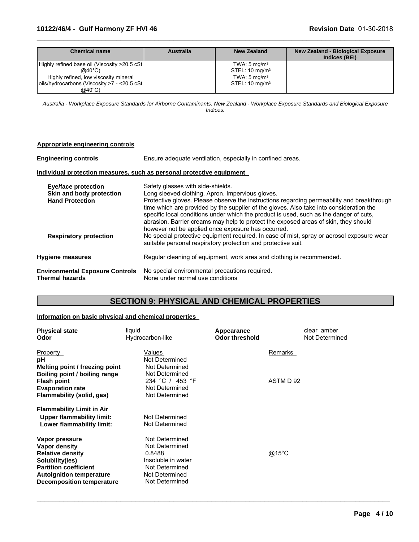### **10122/46/4** - **Gulf Harmony ZF HVI 46 Revision Date** 01-30-2018

| Chemical name                                 | <b>Australia</b> | <b>New Zealand</b>        | <b>New Zealand - Biological Exposure</b><br>Indices (BEI) |
|-----------------------------------------------|------------------|---------------------------|-----------------------------------------------------------|
| Highly refined base oil (Viscosity >20.5 cSt) |                  | TWA: $5 \text{ mg/m}^3$   |                                                           |
| @40 $^{\circ}$ C)                             |                  | STEL: $10 \text{ mg/m}^3$ |                                                           |
| Highly refined, low viscosity mineral         |                  | TWA: $5 \text{ mg/m}^3$   |                                                           |
| oils/hydrocarbons (Viscosity >7 - <20.5 cSt   |                  | STEL: $10 \text{ mg/m}^3$ |                                                           |
| $@40^{\circ}$ C)                              |                  |                           |                                                           |

 $\_$  ,  $\_$  ,  $\_$  ,  $\_$  ,  $\_$  ,  $\_$  ,  $\_$  ,  $\_$  ,  $\_$  ,  $\_$  ,  $\_$  ,  $\_$  ,  $\_$  ,  $\_$  ,  $\_$  ,  $\_$  ,  $\_$  ,  $\_$  ,  $\_$  ,  $\_$  ,  $\_$  ,  $\_$  ,  $\_$  ,  $\_$  ,  $\_$  ,  $\_$  ,  $\_$  ,  $\_$  ,  $\_$  ,  $\_$  ,  $\_$  ,  $\_$  ,  $\_$  ,  $\_$  ,  $\_$  ,  $\_$  ,  $\_$  ,

*Australia - Workplace Exposure Standards for Airborne Contaminants. New Zealand - Workplace Exposure Standards and Biological Exposure Indices.*

| Appropriate engineering controls                                                 |                                                                                                                                                                                                                                                                                                                                                                                                                                                                                                                       |
|----------------------------------------------------------------------------------|-----------------------------------------------------------------------------------------------------------------------------------------------------------------------------------------------------------------------------------------------------------------------------------------------------------------------------------------------------------------------------------------------------------------------------------------------------------------------------------------------------------------------|
| <b>Engineering controls</b>                                                      | Ensure adequate ventilation, especially in confined areas.                                                                                                                                                                                                                                                                                                                                                                                                                                                            |
|                                                                                  | Individual protection measures, such as personal protective equipment                                                                                                                                                                                                                                                                                                                                                                                                                                                 |
| <b>Eye/face protection</b><br>Skin and body protection<br><b>Hand Protection</b> | Safety glasses with side-shields.<br>Long sleeved clothing. Apron. Impervious gloves.<br>Protective gloves. Please observe the instructions regarding permeability and breakthrough<br>time which are provided by the supplier of the gloves. Also take into consideration the<br>specific local conditions under which the product is used, such as the danger of cuts,<br>abrasion. Barrier creams may help to protect the exposed areas of skin, they should<br>however not be applied once exposure has occurred. |
| <b>Respiratory protection</b>                                                    | No special protective equipment required. In case of mist, spray or aerosol exposure wear<br>suitable personal respiratory protection and protective suit.                                                                                                                                                                                                                                                                                                                                                            |
| <b>Hygiene measures</b>                                                          | Regular cleaning of equipment, work area and clothing is recommended.                                                                                                                                                                                                                                                                                                                                                                                                                                                 |
| <b>Environmental Exposure Controls</b><br><b>Thermal hazards</b>                 | No special environmental precautions required.<br>None under normal use conditions                                                                                                                                                                                                                                                                                                                                                                                                                                    |

# **SECTION 9: PHYSICAL AND CHEMICAL PROPERTIES**

#### **Information on basic physical and chemical properties**

| <b>Physical state</b><br>Odor    | liquid<br>Hydrocarbon-like | Appearance<br><b>Odor threshold</b> | clear amber<br>Not Determined |
|----------------------------------|----------------------------|-------------------------------------|-------------------------------|
| Property                         | Values                     |                                     | Remarks                       |
| рH                               | Not Determined             |                                     |                               |
| Melting point / freezing point   | Not Determined             |                                     |                               |
| Boiling point / boiling range    | Not Determined             |                                     |                               |
| <b>Flash point</b>               | 234 °C / 453 °F            |                                     | ASTM D 92                     |
| <b>Evaporation rate</b>          | Not Determined             |                                     |                               |
| Flammability (solid, gas)        | Not Determined             |                                     |                               |
| <b>Flammability Limit in Air</b> |                            |                                     |                               |
| Upper flammability limit:        | Not Determined             |                                     |                               |
| Lower flammability limit:        | Not Determined             |                                     |                               |
| Vapor pressure                   | Not Determined             |                                     |                               |
| Vapor density                    | Not Determined             |                                     |                               |
| <b>Relative density</b>          | 0.8488                     |                                     | @15°C                         |
| Solubility(ies)                  | Insoluble in water         |                                     |                               |
| <b>Partition coefficient</b>     | Not Determined             |                                     |                               |
| <b>Autoignition temperature</b>  | Not Determined             |                                     |                               |
| <b>Decomposition temperature</b> | Not Determined             |                                     |                               |

 $\_$  ,  $\_$  ,  $\_$  ,  $\_$  ,  $\_$  ,  $\_$  ,  $\_$  ,  $\_$  ,  $\_$  ,  $\_$  ,  $\_$  ,  $\_$  ,  $\_$  ,  $\_$  ,  $\_$  ,  $\_$  ,  $\_$  ,  $\_$  ,  $\_$  ,  $\_$  ,  $\_$  ,  $\_$  ,  $\_$  ,  $\_$  ,  $\_$  ,  $\_$  ,  $\_$  ,  $\_$  ,  $\_$  ,  $\_$  ,  $\_$  ,  $\_$  ,  $\_$  ,  $\_$  ,  $\_$  ,  $\_$  ,  $\_$  ,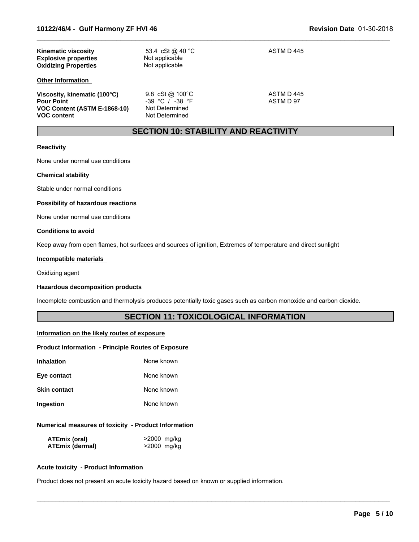| <b>Kinematic viscosity</b><br><b>Explosive properties</b><br><b>Oxidizing Properties</b>                | 53.4 cSt @ 40 °C<br>Not applicable<br>Not applicable                                 | ASTM D 445              |
|---------------------------------------------------------------------------------------------------------|--------------------------------------------------------------------------------------|-------------------------|
| <b>Other Information</b>                                                                                |                                                                                      |                         |
| Viscosity, kinematic (100°C)<br><b>Pour Point</b><br>VOC Content (ASTM E-1868-10)<br><b>VOC content</b> | 9.8 cSt @ $100^{\circ}$ C<br>$-39$ °C / $-38$ °F<br>Not Determined<br>Not Determined | ASTM D 445<br>ASTM D 97 |

# **SECTION 10: STABILITY AND REACTIVITY**

 $\_$  ,  $\_$  ,  $\_$  ,  $\_$  ,  $\_$  ,  $\_$  ,  $\_$  ,  $\_$  ,  $\_$  ,  $\_$  ,  $\_$  ,  $\_$  ,  $\_$  ,  $\_$  ,  $\_$  ,  $\_$  ,  $\_$  ,  $\_$  ,  $\_$  ,  $\_$  ,  $\_$  ,  $\_$  ,  $\_$  ,  $\_$  ,  $\_$  ,  $\_$  ,  $\_$  ,  $\_$  ,  $\_$  ,  $\_$  ,  $\_$  ,  $\_$  ,  $\_$  ,  $\_$  ,  $\_$  ,  $\_$  ,  $\_$  ,

### **Reactivity**

None under normal use conditions

#### **Chemical stability**

Stable under normal conditions

#### **Possibility of hazardous reactions**

None under normal use conditions

#### **Conditions to avoid**

Keep away from open flames, hot surfaces and sources of ignition, Extremes of temperature and direct sunlight

#### **Incompatible materials**

Oxidizing agent

#### **Hazardous decomposition products**

Incomplete combustion and thermolysis produces potentially toxic gases such as carbon monoxide and carbon dioxide.

# **SECTION 11: TOXICOLOGICAL INFORMATION**

 $\_$  ,  $\_$  ,  $\_$  ,  $\_$  ,  $\_$  ,  $\_$  ,  $\_$  ,  $\_$  ,  $\_$  ,  $\_$  ,  $\_$  ,  $\_$  ,  $\_$  ,  $\_$  ,  $\_$  ,  $\_$  ,  $\_$  ,  $\_$  ,  $\_$  ,  $\_$  ,  $\_$  ,  $\_$  ,  $\_$  ,  $\_$  ,  $\_$  ,  $\_$  ,  $\_$  ,  $\_$  ,  $\_$  ,  $\_$  ,  $\_$  ,  $\_$  ,  $\_$  ,  $\_$  ,  $\_$  ,  $\_$  ,  $\_$  ,

#### **Information on the likely routes of exposure**

#### **Product Information - Principle Routes of Exposure**

| Inhalation   | None known |
|--------------|------------|
| Eye contact  | None known |
| Skin contact | None known |

# **Ingestion** None known

#### **Numerical measures of toxicity - Product Information**

| ATEmix (oral)          | >2000 mg/kg |
|------------------------|-------------|
| <b>ATEmix (dermal)</b> | >2000 mg/kg |

#### **Acute toxicity - Product Information**

Product does not present an acute toxicity hazard based on known or supplied information.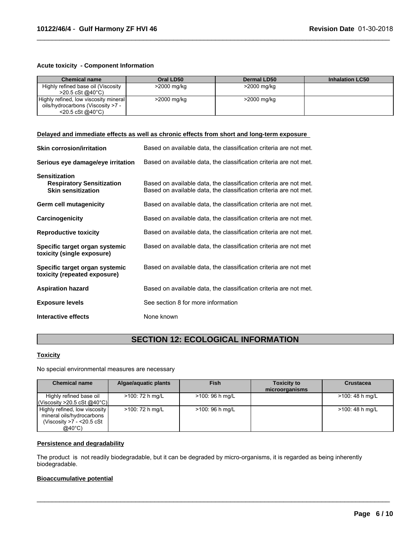#### **Acute toxicity - Component Information**

| <b>Chemical name</b>                  | Oral LD50   | <b>Dermal LD50</b> | <b>Inhalation LC50</b> |
|---------------------------------------|-------------|--------------------|------------------------|
| Highly refined base oil (Viscosity    | >2000 mg/kg | >2000 mg/kg        |                        |
| $>20.5 \text{ cSt}$ @ 40 °C)          |             |                    |                        |
| Highly refined, low viscosity mineral | >2000 mg/kg | >2000 mg/kg        |                        |
| oils/hydrocarbons (Viscosity >7 -     |             |                    |                        |
| $<$ 20.5 cSt @40 $^{\circ}$ C)        |             |                    |                        |

 $\_$  ,  $\_$  ,  $\_$  ,  $\_$  ,  $\_$  ,  $\_$  ,  $\_$  ,  $\_$  ,  $\_$  ,  $\_$  ,  $\_$  ,  $\_$  ,  $\_$  ,  $\_$  ,  $\_$  ,  $\_$  ,  $\_$  ,  $\_$  ,  $\_$  ,  $\_$  ,  $\_$  ,  $\_$  ,  $\_$  ,  $\_$  ,  $\_$  ,  $\_$  ,  $\_$  ,  $\_$  ,  $\_$  ,  $\_$  ,  $\_$  ,  $\_$  ,  $\_$  ,  $\_$  ,  $\_$  ,  $\_$  ,  $\_$  ,

#### **Delayed and immediate effects as well as chronic effects from short and long-term exposure**

| <b>Skin corrosion/irritation</b>                                                      | Based on available data, the classification criteria are not met.                                                                      |
|---------------------------------------------------------------------------------------|----------------------------------------------------------------------------------------------------------------------------------------|
| Serious eye damage/eye irritation                                                     | Based on available data, the classification criteria are not met.                                                                      |
| <b>Sensitization</b><br><b>Respiratory Sensitization</b><br><b>Skin sensitization</b> | Based on available data, the classification criteria are not met.<br>Based on available data, the classification criteria are not met. |
| Germ cell mutagenicity                                                                | Based on available data, the classification criteria are not met.                                                                      |
| Carcinogenicity                                                                       | Based on available data, the classification criteria are not met.                                                                      |
| <b>Reproductive toxicity</b>                                                          | Based on available data, the classification criteria are not met.                                                                      |
| Specific target organ systemic<br>toxicity (single exposure)                          | Based on available data, the classification criteria are not met                                                                       |
| Specific target organ systemic<br>toxicity (repeated exposure)                        | Based on available data, the classification criteria are not met                                                                       |
| <b>Aspiration hazard</b>                                                              | Based on available data, the classification criteria are not met.                                                                      |
| <b>Exposure levels</b>                                                                | See section 8 for more information                                                                                                     |
| Interactive effects                                                                   | None known                                                                                                                             |

# **SECTION 12: ECOLOGICAL INFORMATION**

# **Toxicity**

No special environmental measures are necessary

| <b>Chemical name</b>                                                                                         | Algae/aquatic plants | <b>Fish</b>      | <b>Toxicity to</b><br>microorganisms | <b>Crustacea</b> |
|--------------------------------------------------------------------------------------------------------------|----------------------|------------------|--------------------------------------|------------------|
| Highly refined base oil<br>l(Viscosity >20.5 cSt @40°C)l                                                     | >100: 72 h mg/L      | $>100:96$ h mg/L |                                      | >100: 48 h mg/L  |
| Highly refined, low viscosity<br>mineral oils/hydrocarbons<br>(Viscosity $>7 - 20.5$ cSt<br>$@40^{\circ}$ C) | >100: 72 h mg/L      | $>100:96$ h mg/L |                                      | >100: 48 h mg/L  |

 $\_$  ,  $\_$  ,  $\_$  ,  $\_$  ,  $\_$  ,  $\_$  ,  $\_$  ,  $\_$  ,  $\_$  ,  $\_$  ,  $\_$  ,  $\_$  ,  $\_$  ,  $\_$  ,  $\_$  ,  $\_$  ,  $\_$  ,  $\_$  ,  $\_$  ,  $\_$  ,  $\_$  ,  $\_$  ,  $\_$  ,  $\_$  ,  $\_$  ,  $\_$  ,  $\_$  ,  $\_$  ,  $\_$  ,  $\_$  ,  $\_$  ,  $\_$  ,  $\_$  ,  $\_$  ,  $\_$  ,  $\_$  ,  $\_$  ,

#### **Persistence and degradability**

The product is not readily biodegradable, but it can be degraded by micro-organisms, it is regarded as being inherently biodegradable.

# **Bioaccumulative potential**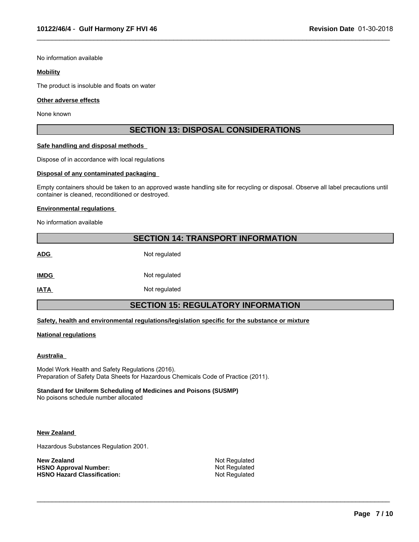No information available

#### **Mobility**

The product is insoluble and floats on water

#### **Other adverse effects**

None known

### **SECTION 13: DISPOSAL CONSIDERATIONS**

 $\_$  ,  $\_$  ,  $\_$  ,  $\_$  ,  $\_$  ,  $\_$  ,  $\_$  ,  $\_$  ,  $\_$  ,  $\_$  ,  $\_$  ,  $\_$  ,  $\_$  ,  $\_$  ,  $\_$  ,  $\_$  ,  $\_$  ,  $\_$  ,  $\_$  ,  $\_$  ,  $\_$  ,  $\_$  ,  $\_$  ,  $\_$  ,  $\_$  ,  $\_$  ,  $\_$  ,  $\_$  ,  $\_$  ,  $\_$  ,  $\_$  ,  $\_$  ,  $\_$  ,  $\_$  ,  $\_$  ,  $\_$  ,  $\_$  ,

#### **Safe handling and disposal methods**

Dispose of in accordance with local regulations

#### **Disposal of any contaminated packaging**

Empty containers should be taken to an approved waste handling site for recycling or disposal. Observe all label precautions until container is cleaned, reconditioned or destroyed.

#### **Environmental regulations**

No information available

# **SECTION 14: TRANSPORT INFORMATION**

ADG Not regulated **IMDG** Not regulated

**IATA** Not regulated

# **SECTION 15: REGULATORY INFORMATION**

#### **Safety, health and environmental regulations/legislation specific for the substance or mixture**

#### **National regulations**

#### **Australia**

Model Work Health and Safety Regulations (2016). Preparation of Safety Data Sheets for Hazardous Chemicals Code of Practice (2011).

### **Standard for Uniform Scheduling of Medicines and Poisons (SUSMP)**

No poisons schedule number allocated

#### **New Zealand**

Hazardous Substances Regulation 2001.

**New Zealand** Not Regulated<br> **HSNO Approval Number:** Not Regulated Not Regulated **HSNO Approval Number:** Not Regulated<br> **HSNO Hazard Classification:** Not Regulated **HSNO Hazard Classification:** 

 $\_$  ,  $\_$  ,  $\_$  ,  $\_$  ,  $\_$  ,  $\_$  ,  $\_$  ,  $\_$  ,  $\_$  ,  $\_$  ,  $\_$  ,  $\_$  ,  $\_$  ,  $\_$  ,  $\_$  ,  $\_$  ,  $\_$  ,  $\_$  ,  $\_$  ,  $\_$  ,  $\_$  ,  $\_$  ,  $\_$  ,  $\_$  ,  $\_$  ,  $\_$  ,  $\_$  ,  $\_$  ,  $\_$  ,  $\_$  ,  $\_$  ,  $\_$  ,  $\_$  ,  $\_$  ,  $\_$  ,  $\_$  ,  $\_$  ,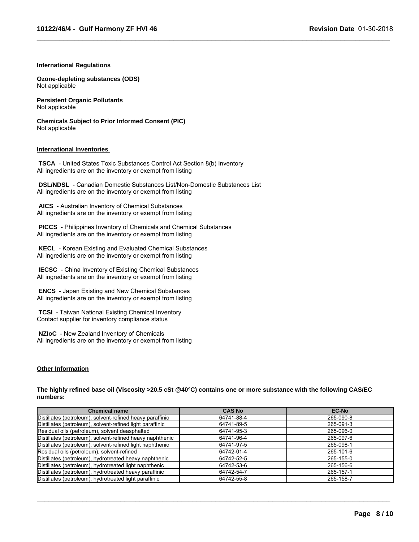$\_$  ,  $\_$  ,  $\_$  ,  $\_$  ,  $\_$  ,  $\_$  ,  $\_$  ,  $\_$  ,  $\_$  ,  $\_$  ,  $\_$  ,  $\_$  ,  $\_$  ,  $\_$  ,  $\_$  ,  $\_$  ,  $\_$  ,  $\_$  ,  $\_$  ,  $\_$  ,  $\_$  ,  $\_$  ,  $\_$  ,  $\_$  ,  $\_$  ,  $\_$  ,  $\_$  ,  $\_$  ,  $\_$  ,  $\_$  ,  $\_$  ,  $\_$  ,  $\_$  ,  $\_$  ,  $\_$  ,  $\_$  ,  $\_$  ,

#### **International Regulations**

**Ozone-depleting substances (ODS)** Not applicable

**Persistent Organic Pollutants** Not applicable

**Chemicals Subject to Prior Informed Consent (PIC)** Not applicable

#### **International Inventories**

 **TSCA** - United States Toxic Substances Control Act Section 8(b) Inventory All ingredients are on the inventory or exempt from listing

 **DSL/NDSL** - Canadian Domestic Substances List/Non-Domestic Substances List All ingredients are on the inventory or exempt from listing

 **AICS** - Australian Inventory of Chemical Substances All ingredients are on the inventory or exempt from listing

 **PICCS** - Philippines Inventory of Chemicals and Chemical Substances All ingredients are on the inventory or exempt from listing

 **KECL** - Korean Existing and Evaluated Chemical Substances All ingredients are on the inventory or exempt from listing

 **IECSC** - China Inventory of Existing Chemical Substances All ingredients are on the inventory or exempt from listing

 **ENCS** - Japan Existing and New Chemical Substances All ingredients are on the inventory or exempt from listing

 **TCSI** - Taiwan National Existing Chemical Inventory Contact supplier for inventory compliance status

 **NZIoC** - New Zealand Inventory of Chemicals All ingredients are on the inventory or exempt from listing

#### **Other Information**

**The highly refined base oil (Viscosity >20.5 cSt @40°C) contains one or more substance with the following CAS/EC numbers:**

| <b>Chemical name</b>                                      | <b>CAS No</b> | <b>EC-No</b> |
|-----------------------------------------------------------|---------------|--------------|
| Distillates (petroleum), solvent-refined heavy paraffinic | 64741-88-4    | 265-090-8    |
| Distillates (petroleum), solvent-refined light paraffinic | 64741-89-5    | 265-091-3    |
| Residual oils (petroleum), solvent deasphalted            | 64741-95-3    | 265-096-0    |
| Distillates (petroleum), solvent-refined heavy naphthenic | 64741-96-4    | 265-097-6    |
| Distillates (petroleum), solvent-refined light naphthenic | 64741-97-5    | 265-098-1    |
| Residual oils (petroleum), solvent-refined                | 64742-01-4    | 265-101-6    |
| Distillates (petroleum), hydrotreated heavy naphthenic    | 64742-52-5    | 265-155-0    |
| Distillates (petroleum), hydrotreated light naphthenic    | 64742-53-6    | 265-156-6    |
| Distillates (petroleum), hydrotreated heavy paraffinic    | 64742-54-7    | 265-157-1    |
| Distillates (petroleum), hydrotreated light paraffinic    | 64742-55-8    | 265-158-7    |

 $\_$  ,  $\_$  ,  $\_$  ,  $\_$  ,  $\_$  ,  $\_$  ,  $\_$  ,  $\_$  ,  $\_$  ,  $\_$  ,  $\_$  ,  $\_$  ,  $\_$  ,  $\_$  ,  $\_$  ,  $\_$  ,  $\_$  ,  $\_$  ,  $\_$  ,  $\_$  ,  $\_$  ,  $\_$  ,  $\_$  ,  $\_$  ,  $\_$  ,  $\_$  ,  $\_$  ,  $\_$  ,  $\_$  ,  $\_$  ,  $\_$  ,  $\_$  ,  $\_$  ,  $\_$  ,  $\_$  ,  $\_$  ,  $\_$  ,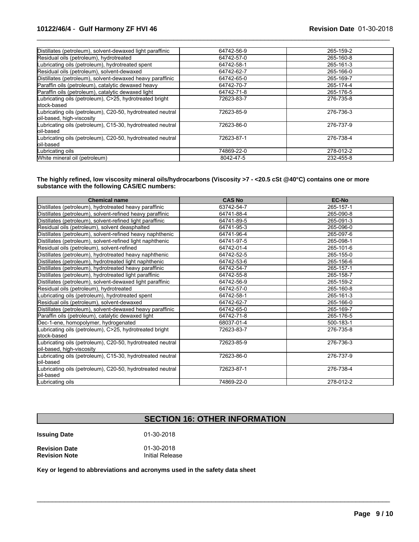| Distillates (petroleum), solvent-dewaxed light paraffinic                               | 64742-56-9 | 265-159-2 |
|-----------------------------------------------------------------------------------------|------------|-----------|
| Residual oils (petroleum), hydrotreated                                                 | 64742-57-0 | 265-160-8 |
| Lubricating oils (petroleum), hydrotreated spent                                        | 64742-58-1 | 265-161-3 |
| Residual oils (petroleum), solvent-dewaxed                                              | 64742-62-7 | 265-166-0 |
| Distillates (petroleum), solvent-dewaxed heavy paraffinic                               | 64742-65-0 | 265-169-7 |
| Paraffin oils (petroleum), catalytic dewaxed heavy                                      | 64742-70-7 | 265-174-4 |
| Paraffin oils (petroleum), catalytic dewaxed light                                      | 64742-71-8 | 265-176-5 |
| Lubricating oils (petroleum), C>25, hydrotreated bright<br>stock-based                  | 72623-83-7 | 276-735-8 |
| Lubricating oils (petroleum), C20-50, hydrotreated neutral<br>oil-based, high-viscosity | 72623-85-9 | 276-736-3 |
| Lubricating oils (petroleum), C15-30, hydrotreated neutral<br>oil-based                 | 72623-86-0 | 276-737-9 |
| Lubricating oils (petroleum), C20-50, hydrotreated neutral<br>loil-based                | 72623-87-1 | 276-738-4 |
| Lubricating oils                                                                        | 74869-22-0 | 278-012-2 |
| White mineral oil (petroleum)                                                           | 8042-47-5  | 232-455-8 |

 $\_$  ,  $\_$  ,  $\_$  ,  $\_$  ,  $\_$  ,  $\_$  ,  $\_$  ,  $\_$  ,  $\_$  ,  $\_$  ,  $\_$  ,  $\_$  ,  $\_$  ,  $\_$  ,  $\_$  ,  $\_$  ,  $\_$  ,  $\_$  ,  $\_$  ,  $\_$  ,  $\_$  ,  $\_$  ,  $\_$  ,  $\_$  ,  $\_$  ,  $\_$  ,  $\_$  ,  $\_$  ,  $\_$  ,  $\_$  ,  $\_$  ,  $\_$  ,  $\_$  ,  $\_$  ,  $\_$  ,  $\_$  ,  $\_$  ,

**The highly refined, low viscosity mineral oils/hydrocarbons (Viscosity >7 - <20.5 cSt @40°C) contains one or more substance with the following CAS/EC numbers:**

| <b>Chemical name</b>                                                                    | <b>CAS No</b> | <b>EC-No</b> |
|-----------------------------------------------------------------------------------------|---------------|--------------|
| Distillates (petroleum), hydrotreated heavy paraffinic                                  | 63742-54-7    | 265-157-1    |
| Distillates (petroleum), solvent-refined heavy paraffinic                               | 64741-88-4    | 265-090-8    |
| Distillates (petroleum), solvent-refined light paraffinic                               | 64741-89-5    | 265-091-3    |
| Residual oils (petroleum), solvent deasphalted                                          | 64741-95-3    | 265-096-0    |
| Distillates (petroleum), solvent-refined heavy naphthenic                               | 64741-96-4    | 265-097-6    |
| Distillates (petroleum), solvent-refined light naphthenic                               | 64741-97-5    | 265-098-1    |
| Residual oils (petroleum), solvent-refined                                              | 64742-01-4    | 265-101-6    |
| Distillates (petroleum), hydrotreated heavy naphthenic                                  | 64742-52-5    | 265-155-0    |
| Distillates (petroleum), hydrotreated light naphthenic                                  | 64742-53-6    | 265-156-6    |
| Distillates (petroleum), hydrotreated heavy paraffinic                                  | 64742-54-7    | 265-157-1    |
| Distillates (petroleum), hydrotreated light paraffinic                                  | 64742-55-8    | 265-158-7    |
| Distillates (petroleum), solvent-dewaxed light paraffinic                               | 64742-56-9    | 265-159-2    |
| Residual oils (petroleum), hydrotreated                                                 | 64742-57-0    | 265-160-8    |
| Lubricating oils (petroleum), hydrotreated spent                                        | 64742-58-1    | 265-161-3    |
| Residual oils (petroleum), solvent-dewaxed                                              | 64742-62-7    | 265-166-0    |
| Distillates (petroleum), solvent-dewaxed heavy paraffinic                               | 64742-65-0    | 265-169-7    |
| Paraffin oils (petroleum), catalytic dewaxed light                                      | 64742-71-8    | 265-176-5    |
| Dec-1-ene, homopolymer, hydrogenated                                                    | 68037-01-4    | 500-183-1    |
| ubricating oils (petroleum), C>25, hydrotreated bright<br>lstock-based                  | 72623-83-7    | 276-735-8    |
| Lubricating oils (petroleum), C20-50, hydrotreated neutral<br>oil-based, high-viscosity | 72623-85-9    | 276-736-3    |
| Lubricating oils (petroleum), C15-30, hydrotreated neutral<br>loil-based                | 72623-86-0    | 276-737-9    |
| Lubricating oils (petroleum), C20-50, hydrotreated neutral<br>oil-based                 | 72623-87-1    | 276-738-4    |
| Lubricating oils                                                                        | 74869-22-0    | 278-012-2    |

# **SECTION 16: OTHER INFORMATION**

 $\mathcal{L}_\mathcal{L} = \{ \mathcal{L}_\mathcal{L} = \{ \mathcal{L}_\mathcal{L} = \{ \mathcal{L}_\mathcal{L} = \{ \mathcal{L}_\mathcal{L} = \{ \mathcal{L}_\mathcal{L} = \{ \mathcal{L}_\mathcal{L} = \{ \mathcal{L}_\mathcal{L} = \{ \mathcal{L}_\mathcal{L} = \{ \mathcal{L}_\mathcal{L} = \{ \mathcal{L}_\mathcal{L} = \{ \mathcal{L}_\mathcal{L} = \{ \mathcal{L}_\mathcal{L} = \{ \mathcal{L}_\mathcal{L} = \{ \mathcal{L}_\mathcal{$ 

**Issuing Date** 01-30-2018

**Revision Date Case 12 Control 1201-2018**<br> **Revision Note Case 12 Control 11** Initial Release **Revision Note** 

**Key or legend to abbreviations and acronyms used in the safety data sheet**